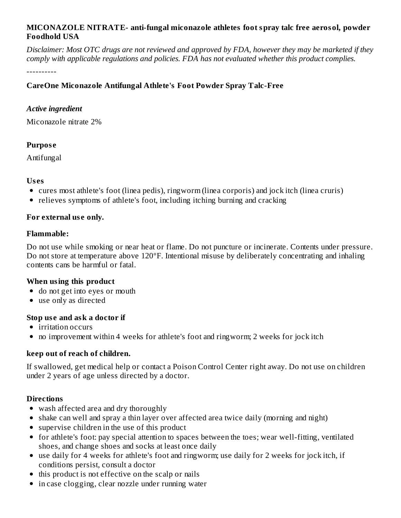#### **MICONAZOLE NITRATE- anti-fungal miconazole athletes foot spray talc free aerosol, powder Foodhold USA**

Disclaimer: Most OTC drugs are not reviewed and approved by FDA, however they may be marketed if they *comply with applicable regulations and policies. FDA has not evaluated whether this product complies.*

----------

## **CareOne Miconazole Antifungal Athlete's Foot Powder Spray Talc-Free**

#### *Active ingredient*

Miconazole nitrate 2%

## **Purpos e**

Antifungal

#### **Us es**

- cures most athlete's foot (linea pedis), ringworm (linea corporis) and jock itch (linea cruris)
- relieves symptoms of athlete's foot, including itching burning and cracking

#### **For external us e only.**

#### **Flammable:**

Do not use while smoking or near heat or flame. Do not puncture or incinerate. Contents under pressure. Do not store at temperature above 120ºF. Intentional misuse by deliberately concentrating and inhaling contents cans be harmful or fatal.

#### **When using this product**

- do not get into eyes or mouth
- use only as directed

#### **Stop us e and ask a doctor if**

- irritation occurs
- no improvement within 4 weeks for athlete's foot and ringworm; 2 weeks for jock itch

# **keep out of reach of children.**

If swallowed, get medical help or contact a Poison Control Center right away. Do not use on children under 2 years of age unless directed by a doctor.

#### **Directions**

- wash affected area and dry thoroughly
- shake can well and spray a thin layer over affected area twice daily (morning and night)
- supervise children in the use of this product
- for athlete's foot: pay special attention to spaces between the toes; wear well-fitting, ventilated shoes, and change shoes and socks at least once daily
- use daily for 4 weeks for athlete's foot and ringworm; use daily for 2 weeks for jock itch, if conditions persist, consult a doctor
- $\bullet$  this product is not effective on the scalp or nails
- in case clogging, clear nozzle under running water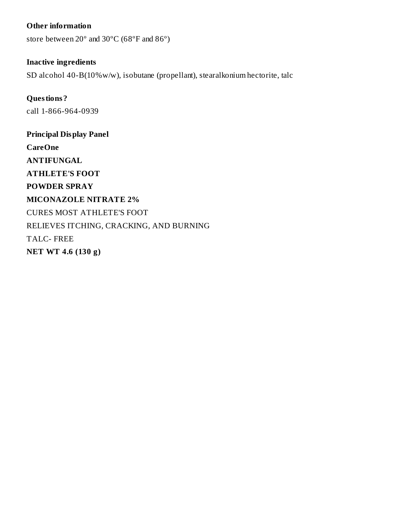#### **Other information**

store between 20º and 30ºC (68ºF and 86º)

#### **Inactive ingredients**

SD alcohol 40-B(10%w/w), isobutane (propellant), stearalkonium hectorite, talc

# **Questions?** call 1-866-964-0939

**Principal Display Panel CareOne ANTIFUNGAL ATHLETE'S FOOT POWDER SPRAY MICONAZOLE NITRATE 2%** CURES MOST ATHLETE'S FOOT RELIEVES ITCHING, CRACKING, AND BURNING TALC- FREE **NET WT 4.6 (130 g)**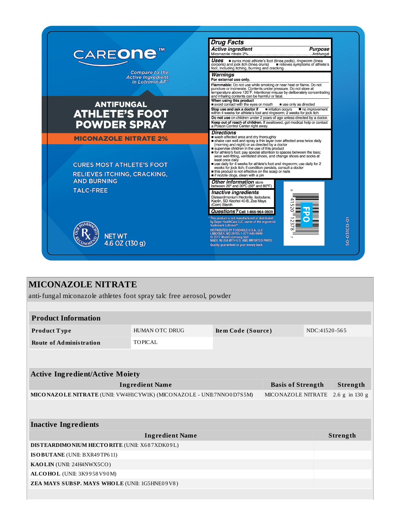

# **MICONAZOLE NITRATE**

anti-fungal miconazole athletes foot spray talc free aerosol, powder

| <b>Product Information</b>                                                                 |                       |                    |  |  |                |  |  |  |
|--------------------------------------------------------------------------------------------|-----------------------|--------------------|--|--|----------------|--|--|--|
| Product Type                                                                               | <b>HUMAN OTC DRUG</b> | Item Code (Source) |  |  | NDC:41520-565  |  |  |  |
| <b>Route of Administration</b>                                                             | <b>TOPICAL</b>        |                    |  |  |                |  |  |  |
|                                                                                            |                       |                    |  |  |                |  |  |  |
|                                                                                            |                       |                    |  |  |                |  |  |  |
| <b>Active Ingredient/Active Moiety</b>                                                     |                       |                    |  |  |                |  |  |  |
| <b>Ingredient Name</b><br><b>Basis of Strength</b>                                         |                       |                    |  |  | Strength       |  |  |  |
| MICONAZOLE NITRATE (UNII: VW4H1CYW1K) (MICONAZOLE - UNII:7NNO0D7S5M)<br>MICONAZOLE NITRATE |                       |                    |  |  | 2.6 g in 130 g |  |  |  |
|                                                                                            |                       |                    |  |  |                |  |  |  |
| <b>Inactive Ingredients</b>                                                                |                       |                    |  |  |                |  |  |  |
| <b>Ingredient Name</b>                                                                     |                       |                    |  |  | Strength       |  |  |  |
| DISTEARDIMONIUM HECTORITE (UNII: X687XDK09L)                                               |                       |                    |  |  |                |  |  |  |
| ISO BUTANE (UNII: BXR49TP611)                                                              |                       |                    |  |  |                |  |  |  |
| KAOLIN (UNII: 24H4NWX5CO)                                                                  |                       |                    |  |  |                |  |  |  |
| ALCOHOL (UNII: 3K9958V90M)                                                                 |                       |                    |  |  |                |  |  |  |
| ZEA MAYS SUBSP. MAYS WHOLE (UNII: 1G5HNE09V8)                                              |                       |                    |  |  |                |  |  |  |
|                                                                                            |                       |                    |  |  |                |  |  |  |